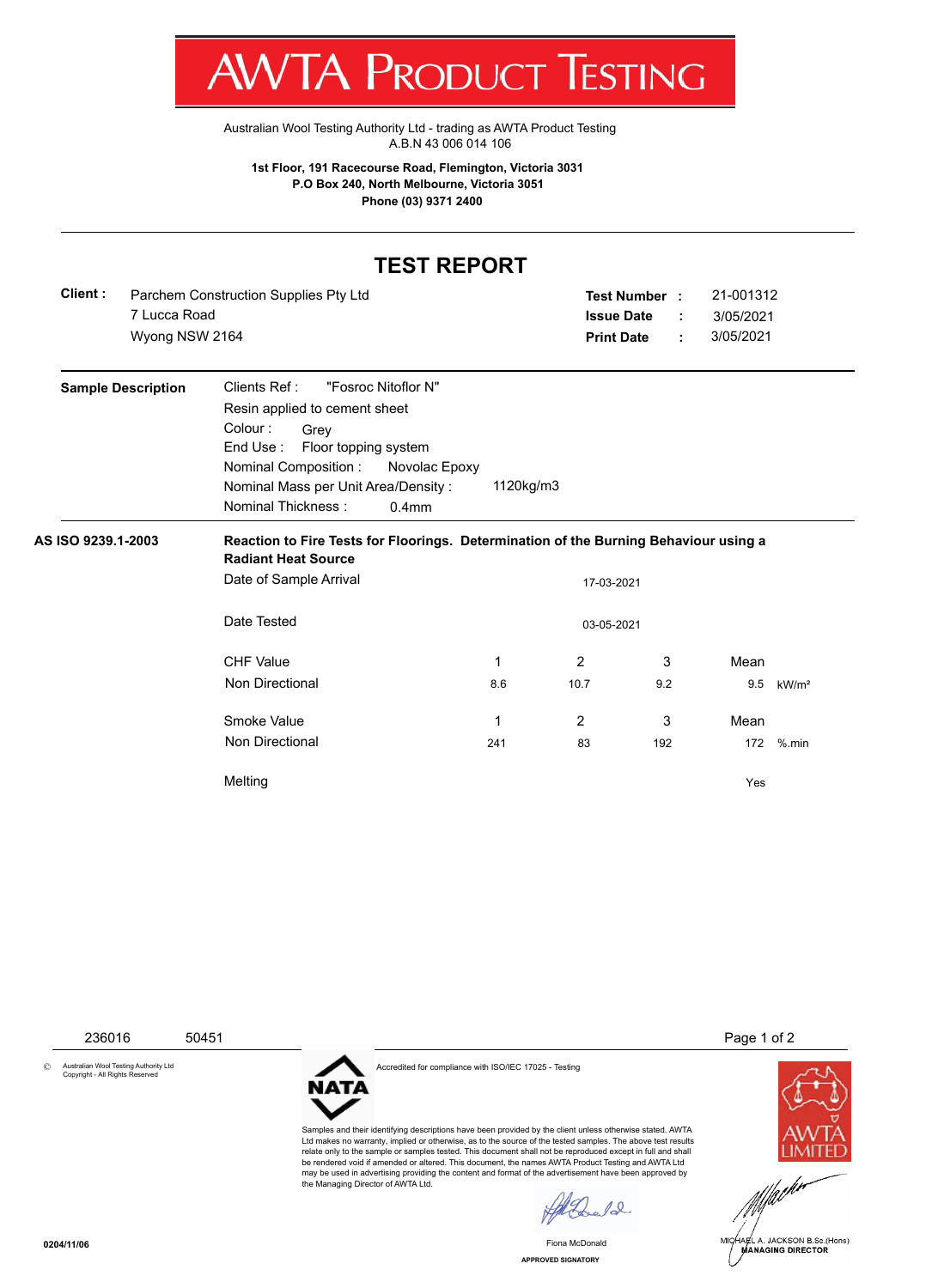

[Australian Wool Testing Authority Ltd - trading as AWTA Product Testing](http://www.awtaproducttesting.com.au/) A.B.N 43 006 014 106

**1st Floor, 191 Racecourse Road, Flemington, Victoria 3031 P.O Box 240, North Melbourne, Victoria 3051 Phone (03) 9371 2400**

## **TEST REPORT**

| Client: | Parchem Construction Supplies Pty Ltd | <b>Test Number</b> | 21-001312 |
|---------|---------------------------------------|--------------------|-----------|
|         | 7 Lucca Road                          | <b>Issue Date</b>  | 3/05/2021 |
|         | Wyong NSW 2164                        | <b>Print Date</b>  | 3/05/2021 |

| <b>Sample Description</b> | Clients Ref :<br>"Fosroc Nitoflor N"                                                 |
|---------------------------|--------------------------------------------------------------------------------------|
|                           | Resin applied to cement sheet                                                        |
|                           | Colour :<br>Grev<br>End Use: Floor topping system                                    |
|                           | Nominal Composition :<br>Novolac Epoxy                                               |
|                           | 1120kg/m3<br>Nominal Mass per Unit Area/Density:                                     |
|                           | Nominal Thickness :<br>$0.4$ mm                                                      |
| AS ISO 9239.1-2003        | Reaction to Fire Tests for Floorings. Determination of the Burning Behaviour using a |

**Radiant Heat Source** Date of Sample Arrival 17-03-2021 Date Tested 03-05-2021 CHF Value 1 2 3 Mean Non Directional 8.6 10.7 9.2 9.5 kW/m<sup>2</sup> Smoke Value 2 3 Mean Network 1 2 3 Mean Non Directional 241 83 192 172 %.min Melting Yes

236016 50451 Page 1 of 2

© Australian Wool Testing Authority Ltd Copyright - All Rights Reserved



Accredited for compliance with ISO/IEC 17025 - Testing

Samples and their identifying descriptions have been provided by the client unless otherwise stated. AWTA Ltd makes no warranty, implied or otherwise, as to the source of the tested samples. The above test results relate only to the sample or samples tested. This document shall not be reproduced except in full and shall be rendered void if amended or altered. This document, the names AWTA Product Testing and AWTA Ltd may be used in advertising providing the content and format of the advertisement have been approved by the Managing Director of AWTA Ltd.

 $10$ 

Fiona McDonald





**APPROVED SIGNATORY**